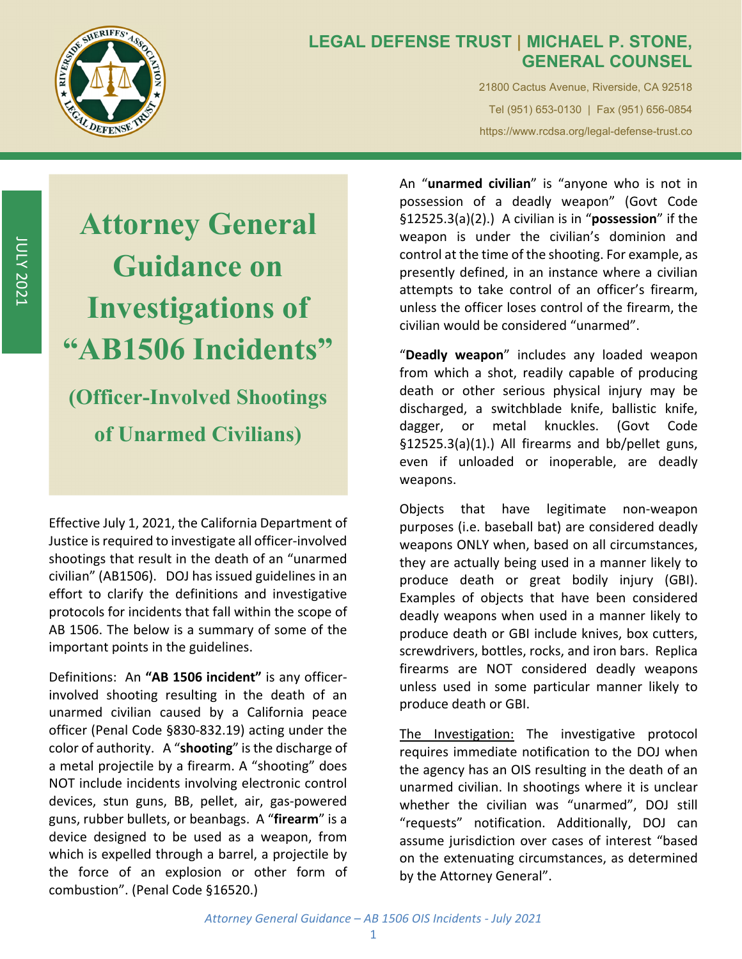

JULY

2021

## **LEGAL DEFENSE TRUST | MICHAEL P. STONE, GENERAL COUNSEL**

21800 Cactus Avenue, Riverside, CA 92518 Tel (951) 653-0130 | Fax (951) 656-0854 https://www.rcdsa.org/legal-defense-trust.co

**Attorney General Guidance on Investigations of "AB1506 Incidents" (Officer-Involved Shootings of Unarmed Civilians)** 

Effective July 1, 2021, the California Department of Justice is required to investigate all officer-involved shootings that result in the death of an "unarmed civilian" (AB1506). DOJ has issued guidelines in an effort to clarify the definitions and investigative protocols for incidents that fall within the scope of AB 1506. The below is a summary of some of the important points in the guidelines.

Definitions: An **"AB 1506 incident"** is any officer‐ involved shooting resulting in the death of an unarmed civilian caused by a California peace officer (Penal Code §830‐832.19) acting under the color of authority. A "**shooting**" isthe discharge of a metal projectile by a firearm. A "shooting" does NOT include incidents involving electronic control devices, stun guns, BB, pellet, air, gas‐powered guns, rubber bullets, or beanbags. A "**firearm**" is a device designed to be used as a weapon, from which is expelled through a barrel, a projectile by the force of an explosion or other form of combustion". (Penal Code §16520.)

An "**unarmed civilian**" is "anyone who is not in possession of a deadly weapon" (Govt Code §12525.3(a)(2).) A civilian is in "**possession**" if the weapon is under the civilian's dominion and control at the time of the shooting. For example, as presently defined, in an instance where a civilian attempts to take control of an officer's firearm, unless the officer loses control of the firearm, the civilian would be considered "unarmed".

"**Deadly weapon**" includes any loaded weapon from which a shot, readily capable of producing death or other serious physical injury may be discharged, a switchblade knife, ballistic knife, dagger, or metal knuckles. (Govt Code §12525.3(a)(1).) All firearms and bb/pellet guns, even if unloaded or inoperable, are deadly weapons.

Objects that have legitimate non‐weapon purposes (i.e. baseball bat) are considered deadly weapons ONLY when, based on all circumstances, they are actually being used in a manner likely to produce death or great bodily injury (GBI). Examples of objects that have been considered deadly weapons when used in a manner likely to produce death or GBI include knives, box cutters, screwdrivers, bottles, rocks, and iron bars. Replica firearms are NOT considered deadly weapons unless used in some particular manner likely to produce death or GBI.

The Investigation: The investigative protocol requires immediate notification to the DOJ when the agency has an OIS resulting in the death of an unarmed civilian. In shootings where it is unclear whether the civilian was "unarmed", DOJ still "requests" notification. Additionally, DOJ can assume jurisdiction over cases of interest "based on the extenuating circumstances, as determined by the Attorney General".